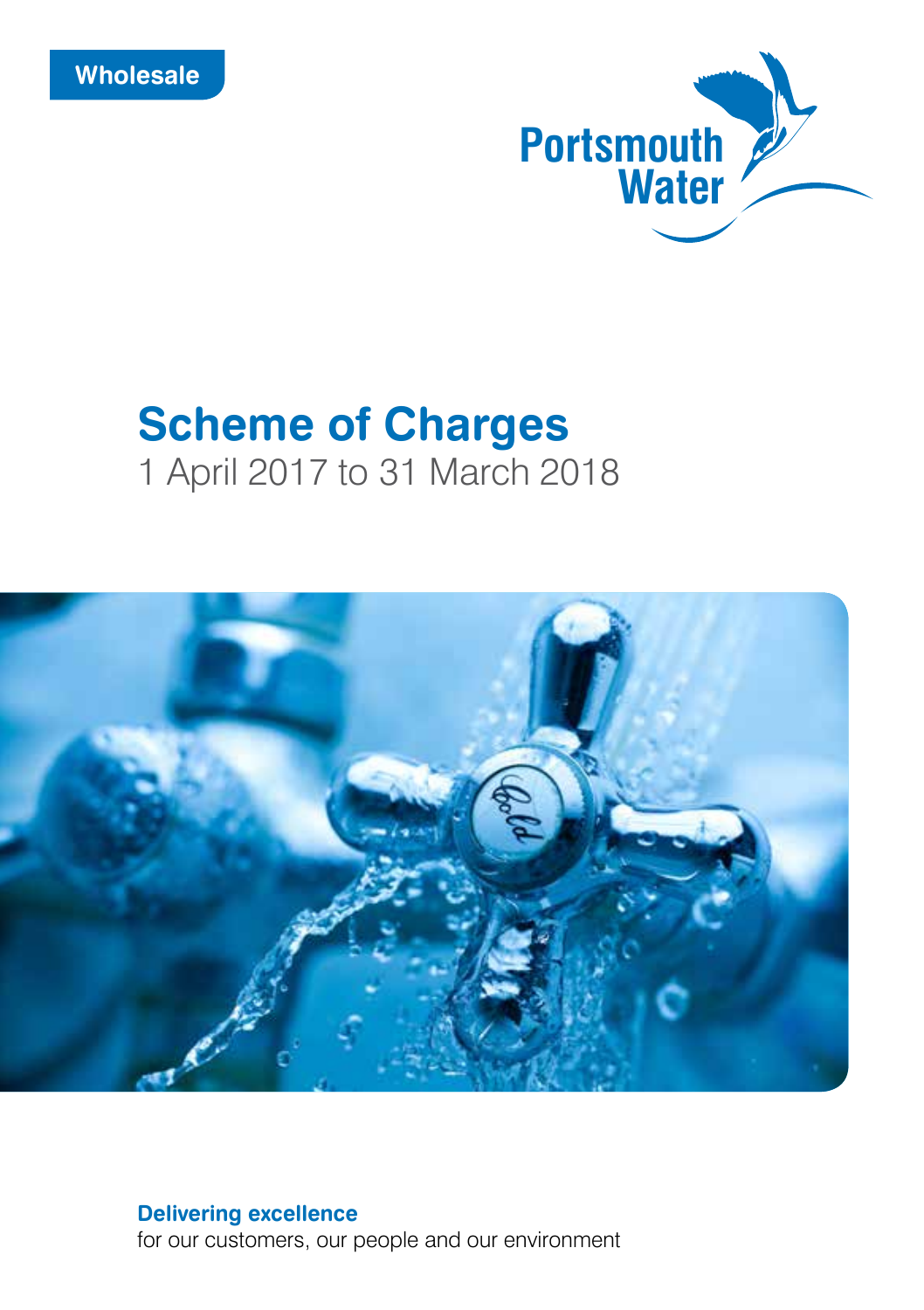

# **Scheme of Charges** 1 April 2017 to 31 March 2018



#### **Delivering excellence**

for our customers, our people and our environment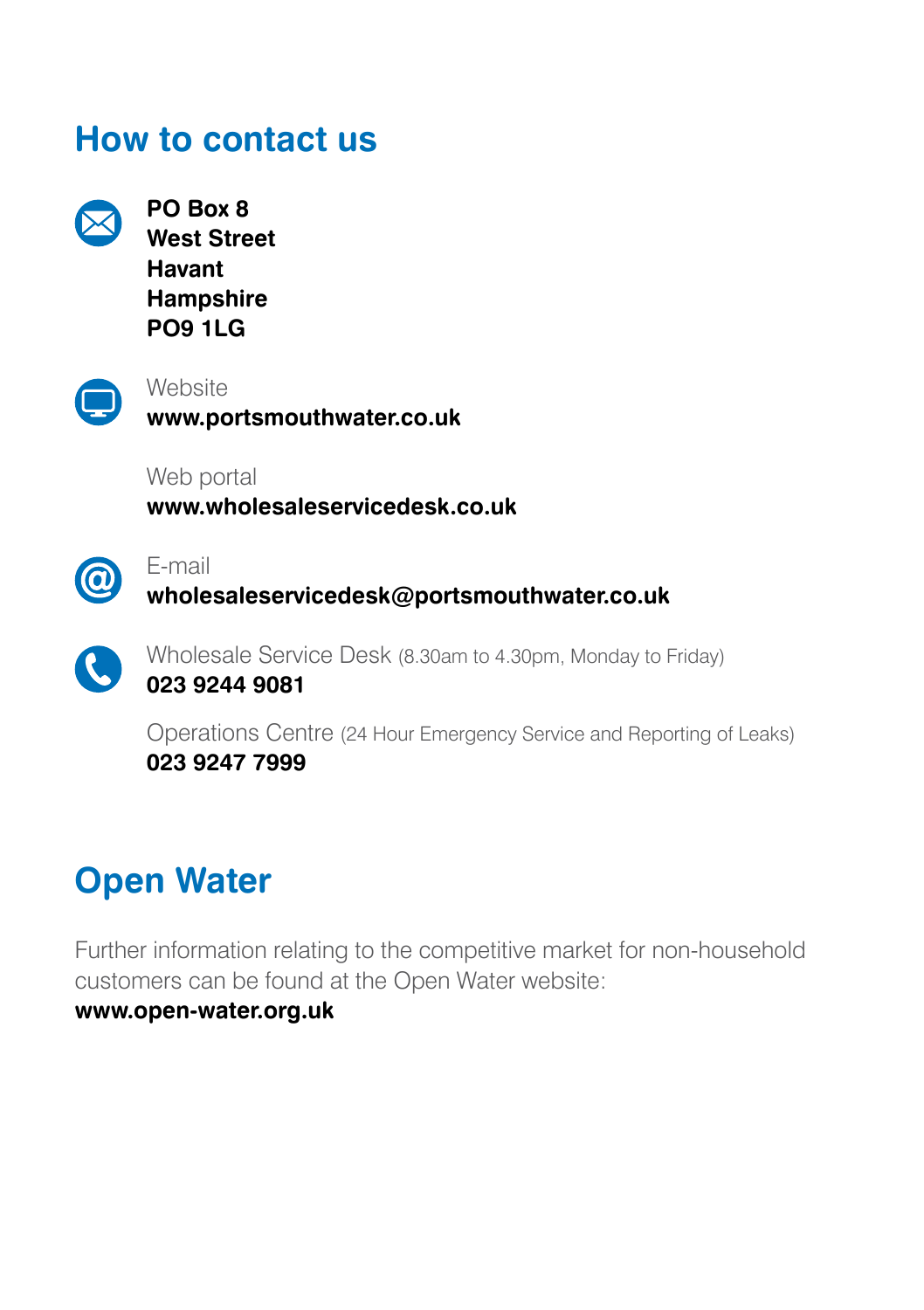## **How to contact us**



## **PO Box 8 West Street**

**Havant Hampshire PO9 1LG**



#### **Website**

**www.portsmouthwater.co.uk**

Web portal **www.wholesaleservicedesk.co.uk**



E-mail **wholesaleservicedesk@portsmouthwater.co.uk**



Wholesale Service Desk (8.30am to 4.30pm, Monday to Friday) **023 9244 9081**

Operations Centre (24 Hour Emergency Service and Reporting of Leaks) **023 9247 7999**

# **Open Water**

Further information relating to the competitive market for non-household customers can be found at the Open Water website:

### **www.open-water.org.uk**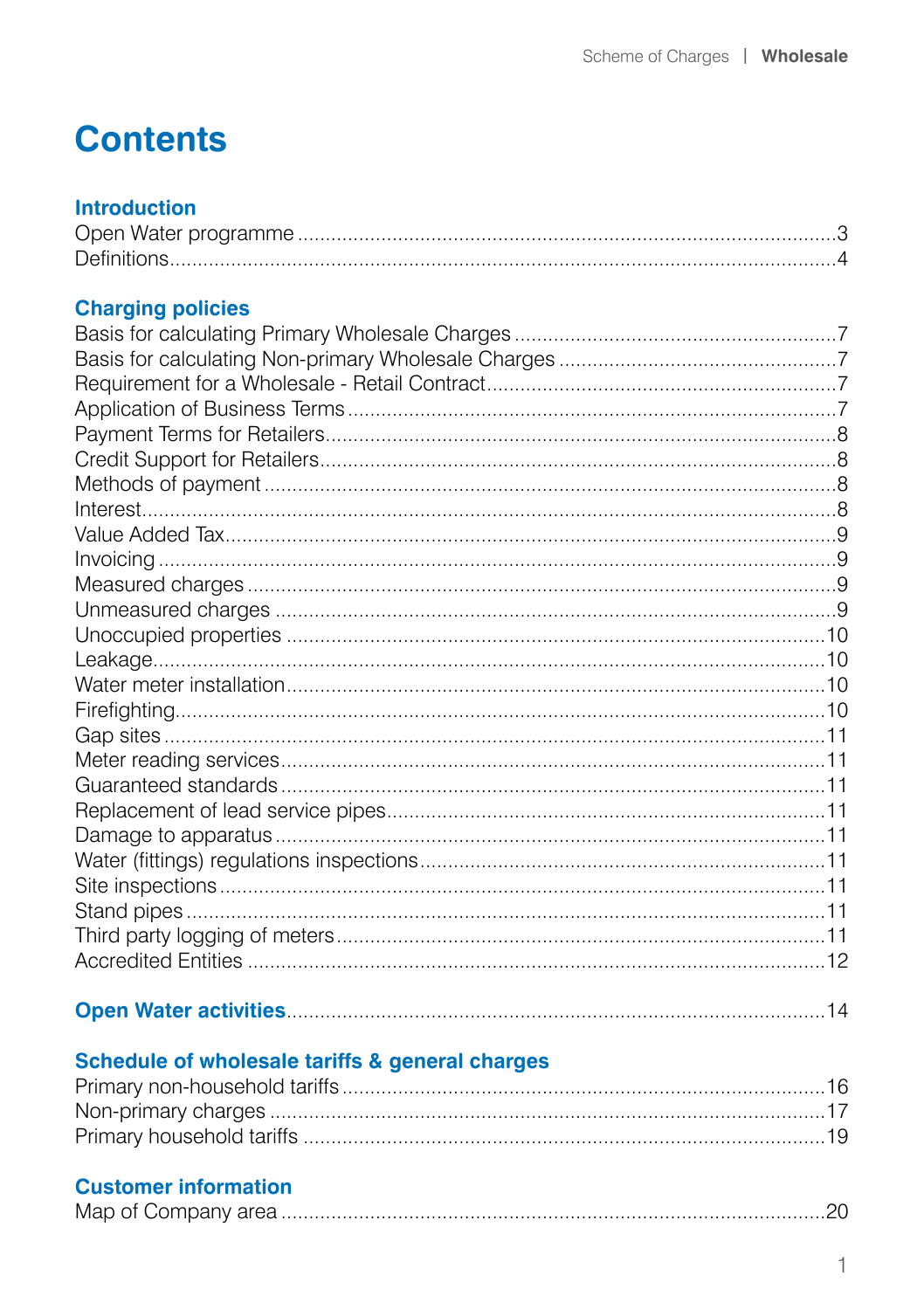## **Contents**

#### **Introduction**

#### **Charging policies**

|--|

#### Schedule of wholesale tariffs & general charges

#### **Customer information**

|--|--|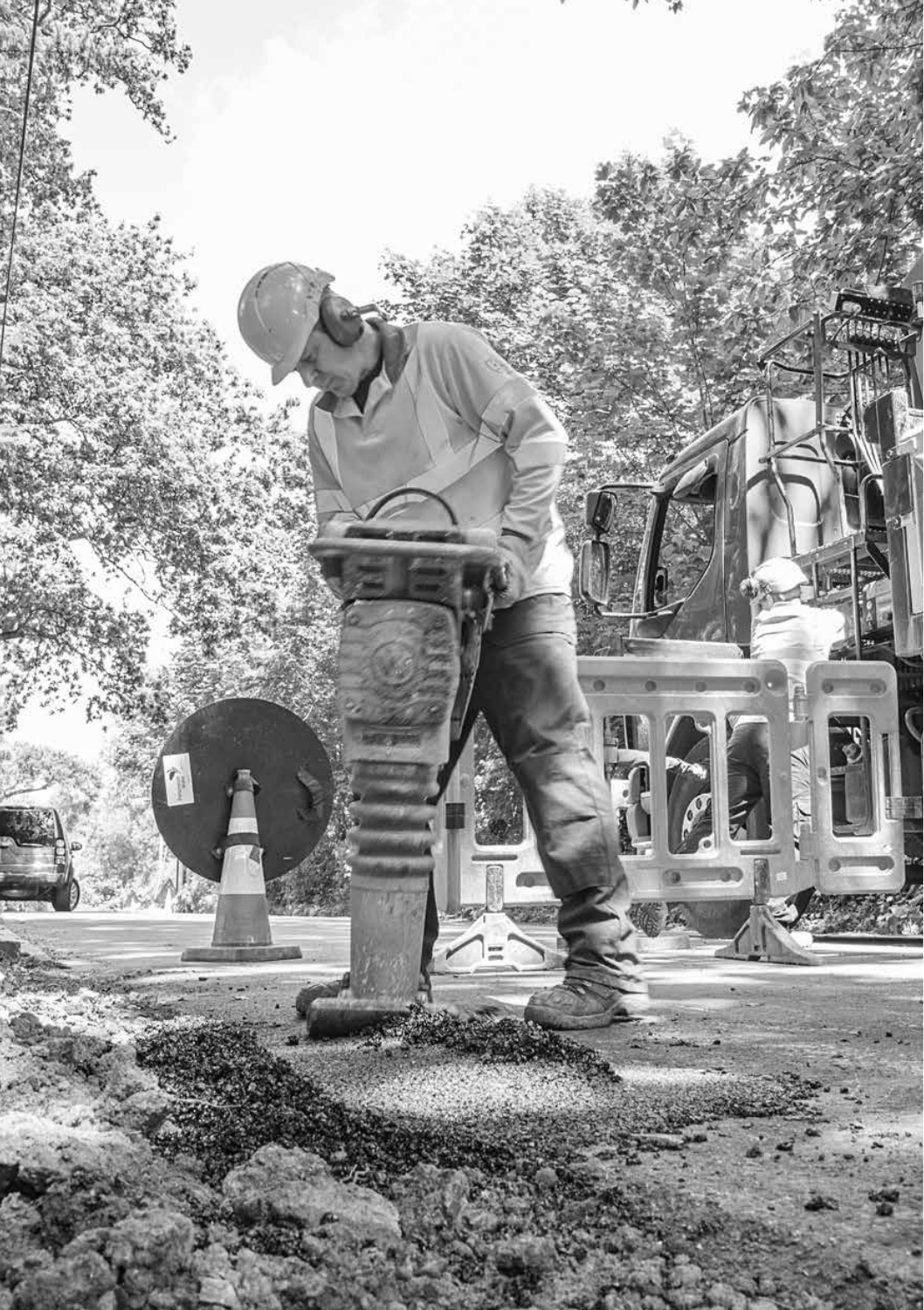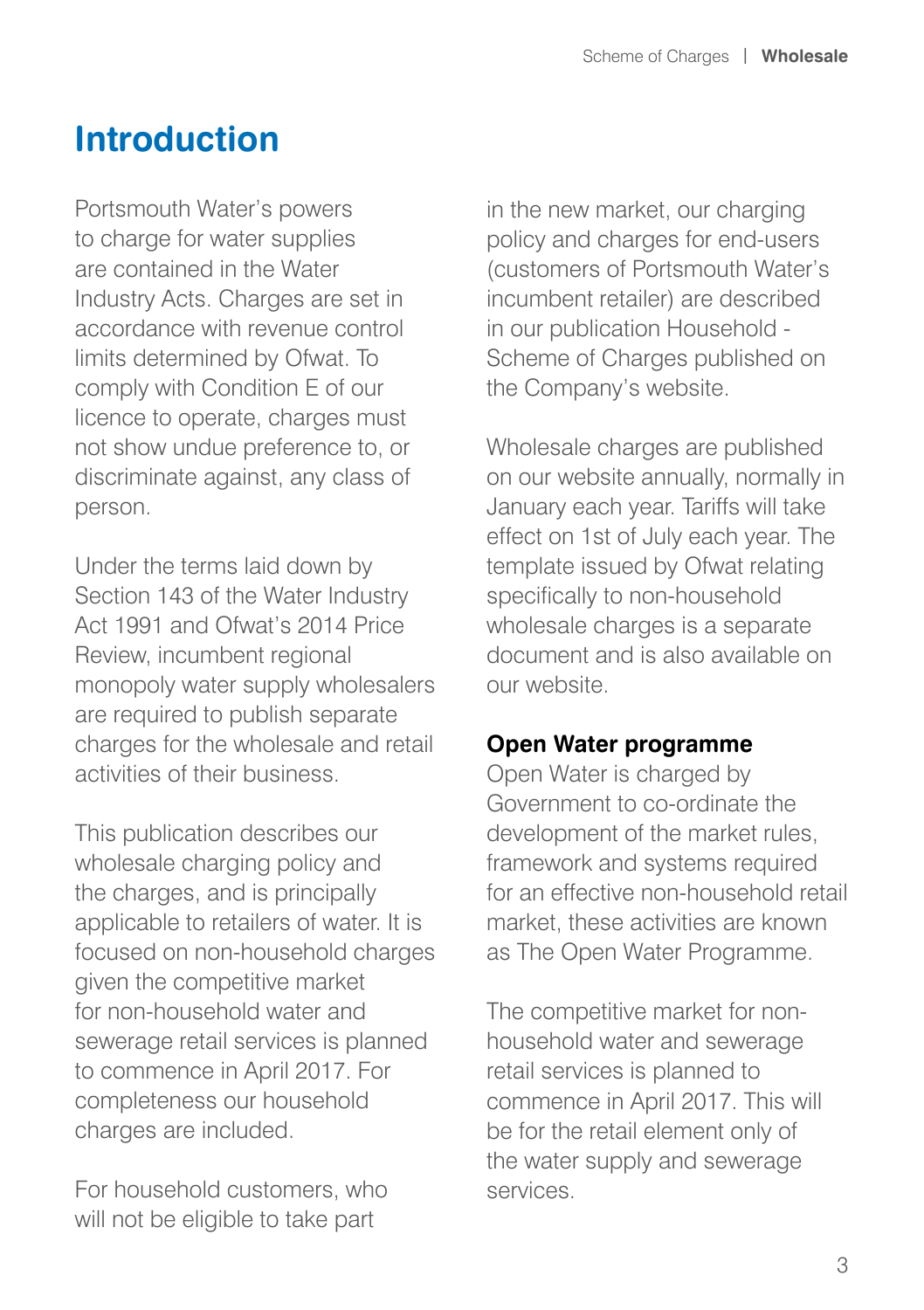## **Introduction**

Portsmouth Water's powers to charge for water supplies are contained in the Water Industry Acts. Charges are set in accordance with revenue control limits determined by Ofwat. To comply with Condition E of our licence to operate, charges must not show undue preference to, or discriminate against, any class of person.

Under the terms laid down by Section 143 of the Water Industry Act 1991 and Ofwat's 2014 Price Review, incumbent regional monopoly water supply wholesalers are required to publish separate charges for the wholesale and retail activities of their business.

This publication describes our wholesale charging policy and the charges, and is principally applicable to retailers of water. It is focused on non-household charges given the competitive market for non-household water and sewerage retail services is planned to commence in April 2017. For completeness our household charges are included.

For household customers, who will not be eligible to take part

in the new market, our charging policy and charges for end-users (customers of Portsmouth Water's incumbent retailer) are described in our publication Household - Scheme of Charges published on the Company's website.

Wholesale charges are published on our website annually, normally in January each year. Tariffs will take effect on 1st of July each year. The template issued by Ofwat relating specifically to non-household wholesale charges is a separate document and is also available on our website.

## **Open Water programme**

Open Water is charged by Government to co-ordinate the development of the market rules. framework and systems required for an effective non-household retail market, these activities are known as The Open Water Programme.

The competitive market for nonhousehold water and sewerage retail services is planned to commence in April 2017. This will be for the retail element only of the water supply and sewerage services.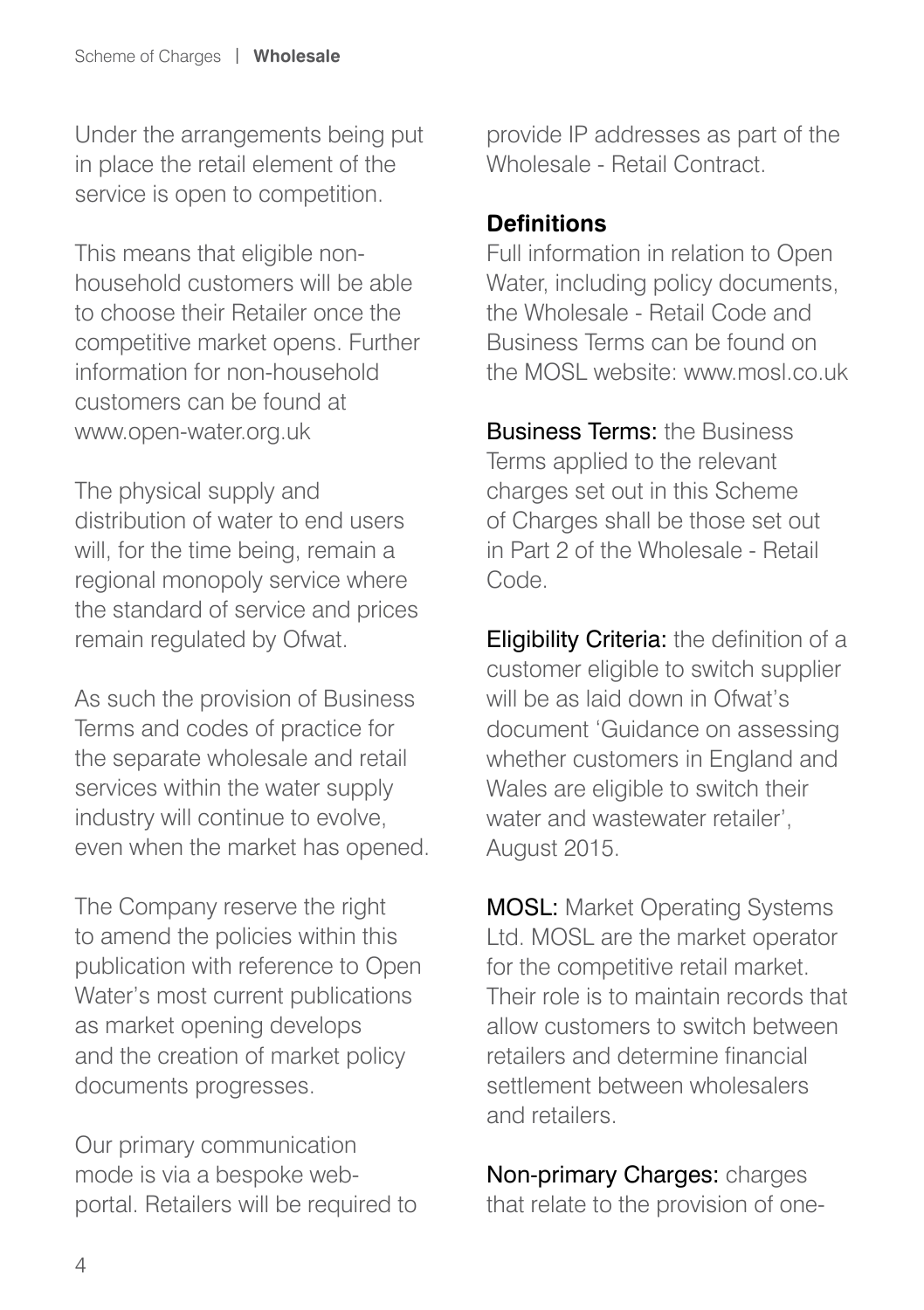Under the arrangements being put in place the retail element of the service is open to competition.

This means that eligible nonhousehold customers will be able to choose their Retailer once the competitive market opens. Further information for non-household customers can be found at www.open-water.org.uk

The physical supply and distribution of water to end users will, for the time being, remain a regional monopoly service where the standard of service and prices remain regulated by Ofwat.

As such the provision of Business Terms and codes of practice for the separate wholesale and retail services within the water supply industry will continue to evolve, even when the market has opened.

The Company reserve the right to amend the policies within this publication with reference to Open Water's most current publications as market opening develops and the creation of market policy documents progresses.

Our primary communication mode is via a bespoke webportal. Retailers will be required to provide IP addresses as part of the Wholesale - Retail Contract.

#### **Definitions**

Full information in relation to Open Water, including policy documents, the Wholesale - Retail Code and Business Terms can be found on the MOSL website: www.mosl.co.uk

Business Terms: the Business Terms applied to the relevant charges set out in this Scheme of Charges shall be those set out in Part 2 of the Wholesale - Retail Code.

**Eligibility Criteria:** the definition of a customer eligible to switch supplier will be as laid down in Ofwat's document 'Guidance on assessing whether customers in England and Wales are eligible to switch their water and wastewater retailer', August 2015.

MOSL: Market Operating Systems Ltd. MOSL are the market operator for the competitive retail market. Their role is to maintain records that allow customers to switch between retailers and determine financial settlement between wholesalers and retailers.

Non-primary Charges: charges that relate to the provision of one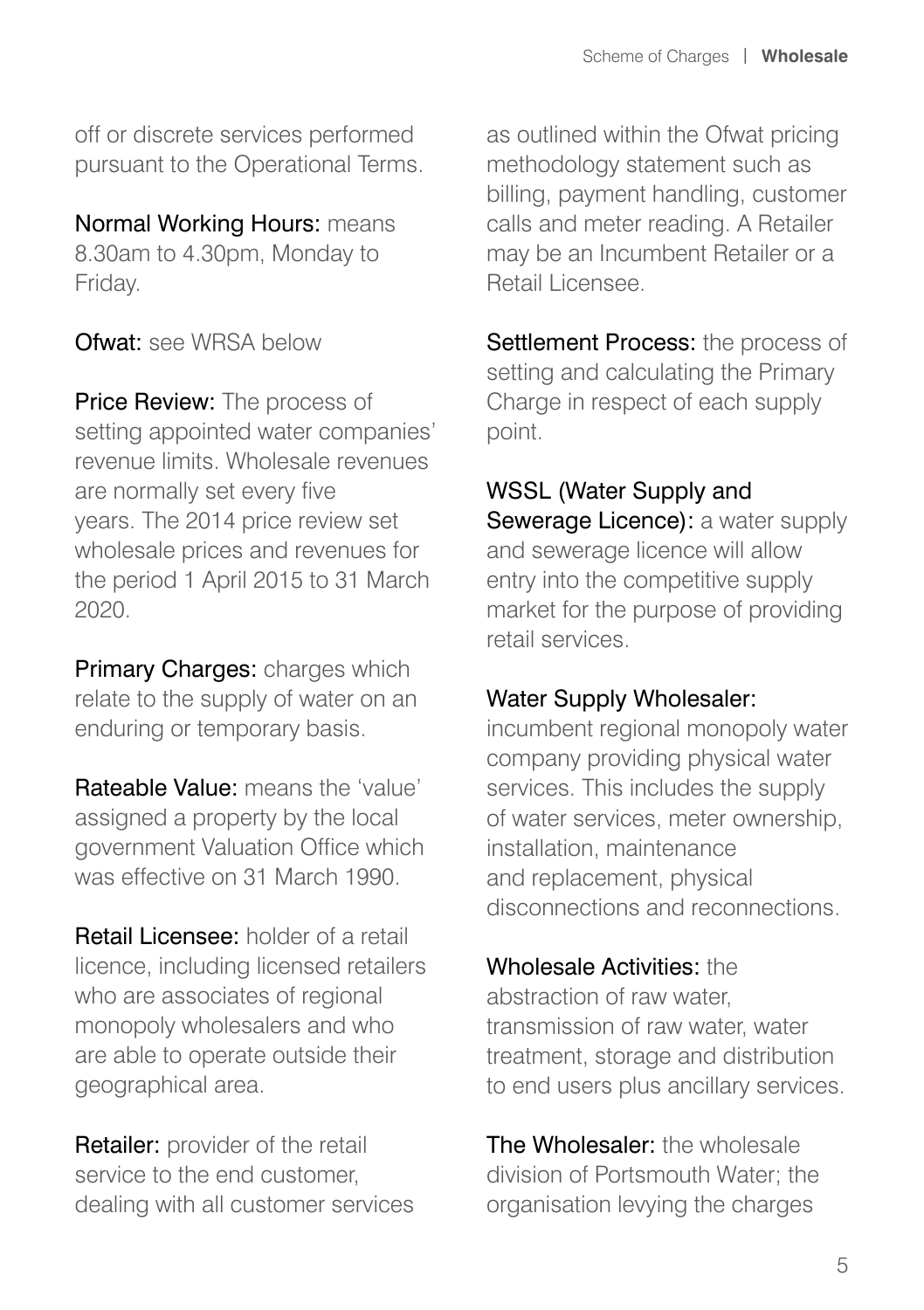off or discrete services performed pursuant to the Operational Terms.

Normal Working Hours: means 8.30am to 4.30pm, Monday to Friday.

Ofwat: see WRSA below

Price Review: The process of setting appointed water companies' revenue limits. Wholesale revenues are normally set every five years. The 2014 price review set wholesale prices and revenues for the period 1 April 2015 to 31 March 2020.

**Primary Charges: charges which** relate to the supply of water on an enduring or temporary basis.

Rateable Value: means the 'value' assigned a property by the local government Valuation Office which was effective on 31 March 1990.

**Retail Licensee:** holder of a retail licence, including licensed retailers who are associates of regional monopoly wholesalers and who are able to operate outside their geographical area.

**Retailer:** provider of the retail service to the end customer, dealing with all customer services

as outlined within the Ofwat pricing methodology statement such as billing, payment handling, customer calls and meter reading. A Retailer may be an Incumbent Retailer or a Retail Licensee.

Settlement Process: the process of setting and calculating the Primary Charge in respect of each supply point.

WSSL (Water Supply and

Sewerage Licence): a water supply and sewerage licence will allow entry into the competitive supply market for the purpose of providing retail services.

### Water Supply Wholesaler:

incumbent regional monopoly water company providing physical water services. This includes the supply of water services, meter ownership, installation, maintenance and replacement, physical disconnections and reconnections.

Wholesale Activities: the abstraction of raw water,

transmission of raw water, water treatment, storage and distribution to end users plus ancillary services.

The Wholesaler: the wholesale division of Portsmouth Water; the organisation levying the charges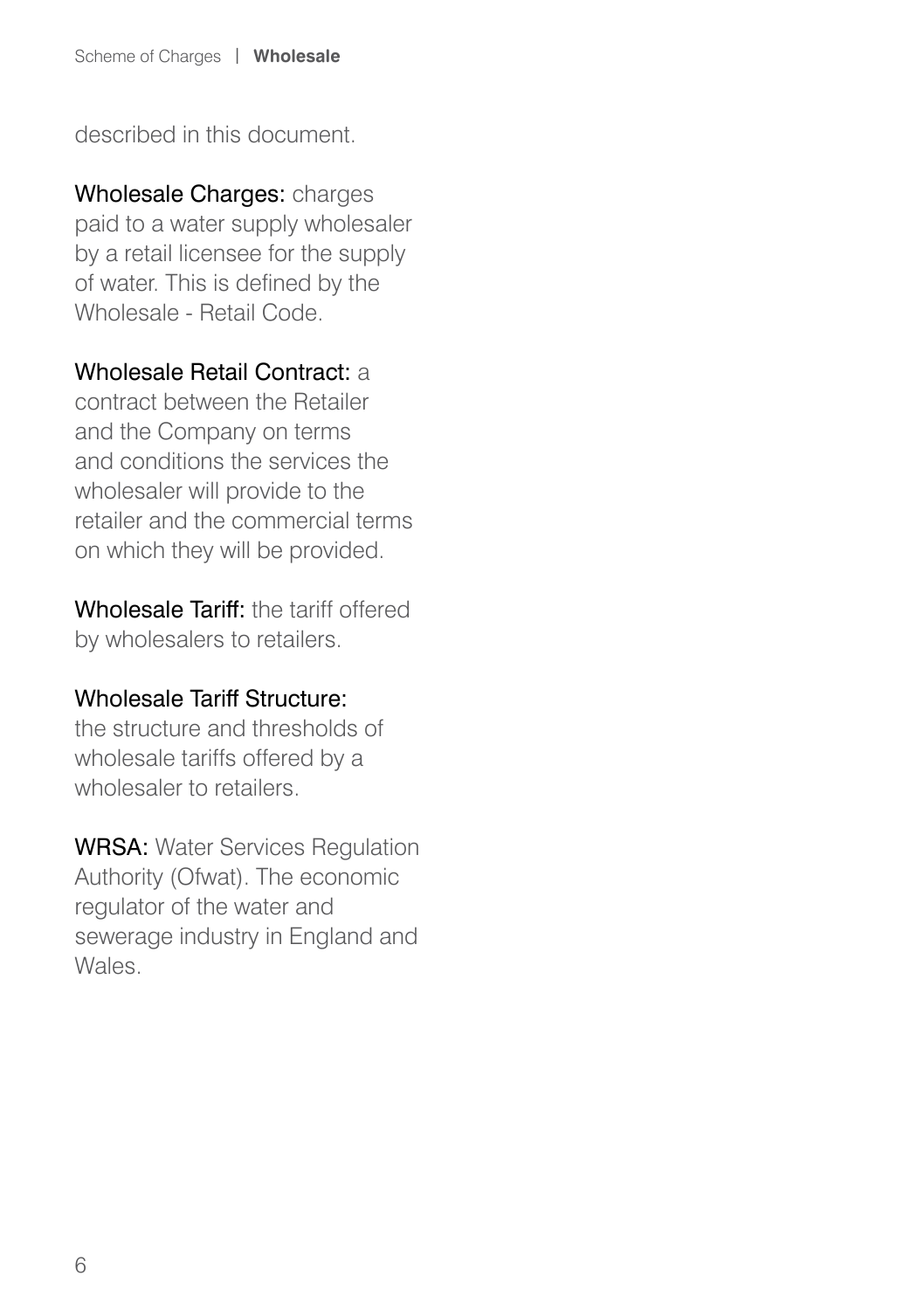described in this document.

Wholesale Charges: charges paid to a water supply wholesaler by a retail licensee for the supply of water. This is defined by the Wholesale - Retail Code.

#### Wholesale Retail Contract: a

contract between the Retailer and the Company on terms and conditions the services the wholesaler will provide to the retailer and the commercial terms on which they will be provided.

Wholesale Tariff: the tariff offered by wholesalers to retailers.

#### Wholesale Tariff Structure:

the structure and thresholds of wholesale tariffs offered by a wholesaler to retailers.

WRSA: Water Services Regulation Authority (Ofwat). The economic regulator of the water and sewerage industry in England and Wales.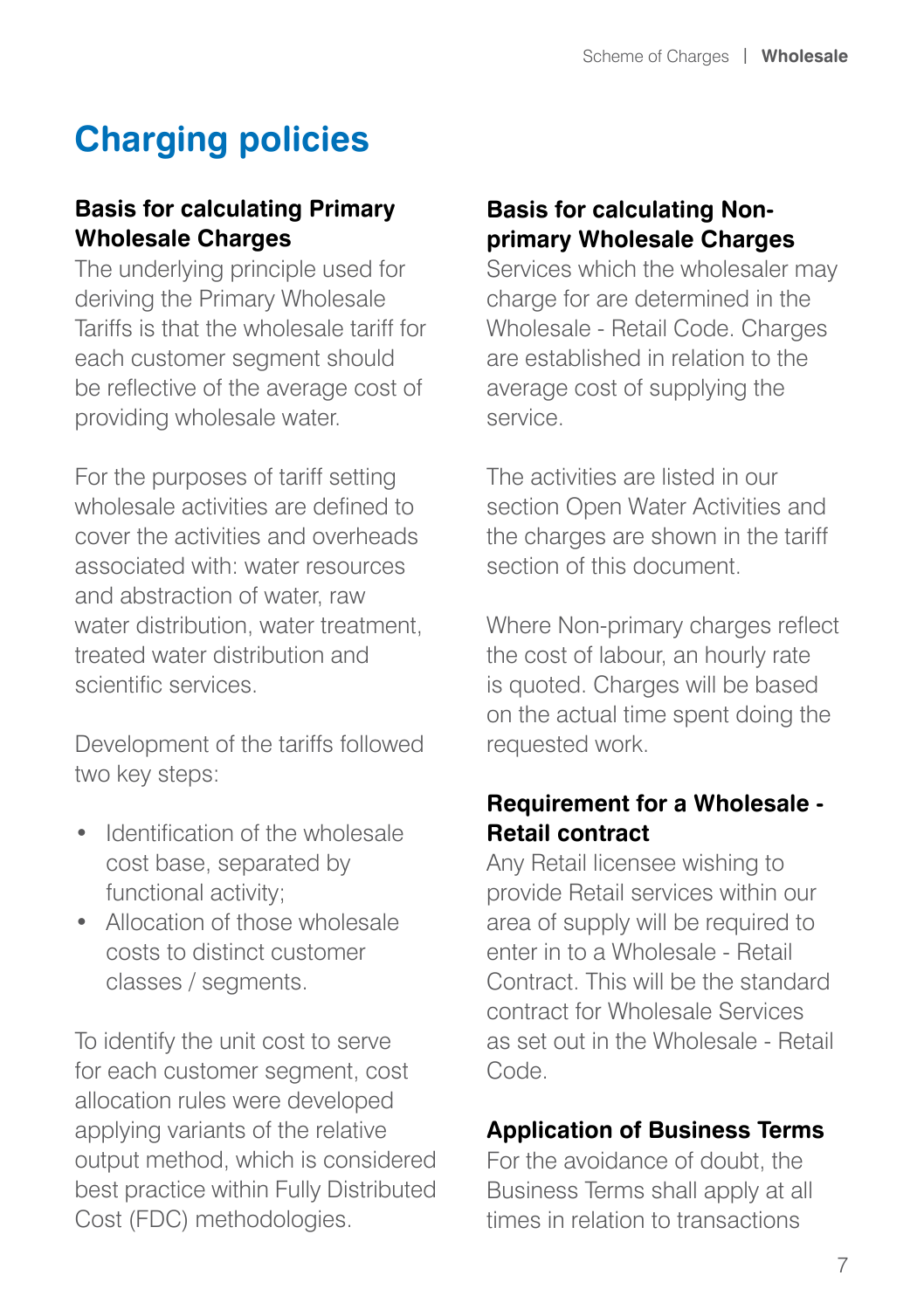# **Charging policies**

### **Basis for calculating Primary Wholesale Charges**

The underlying principle used for deriving the Primary Wholesale Tariffs is that the wholesale tariff for each customer segment should be reflective of the average cost of providing wholesale water.

For the purposes of tariff setting wholesale activities are defined to cover the activities and overheads associated with: water resources and abstraction of water, raw water distribution, water treatment, treated water distribution and scientific services.

Development of the tariffs followed two key steps:

- Identification of the wholesale cost base, separated by functional activity;
- Allocation of those wholesale costs to distinct customer classes / segments.

To identify the unit cost to serve for each customer segment, cost allocation rules were developed applying variants of the relative output method, which is considered best practice within Fully Distributed Cost (FDC) methodologies.

## **Basis for calculating Nonprimary Wholesale Charges**

Services which the wholesaler may charge for are determined in the Wholesale - Retail Code. Charges are established in relation to the average cost of supplying the service.

The activities are listed in our section Open Water Activities and the charges are shown in the tariff section of this document.

Where Non-primary charges reflect the cost of labour, an hourly rate is quoted. Charges will be based on the actual time spent doing the requested work.

## **Requirement for a Wholesale - Retail contract**

Any Retail licensee wishing to provide Retail services within our area of supply will be required to enter in to a Wholesale - Retail Contract. This will be the standard contract for Wholesale Services as set out in the Wholesale - Retail Code.

### **Application of Business Terms**

For the avoidance of doubt, the Business Terms shall apply at all times in relation to transactions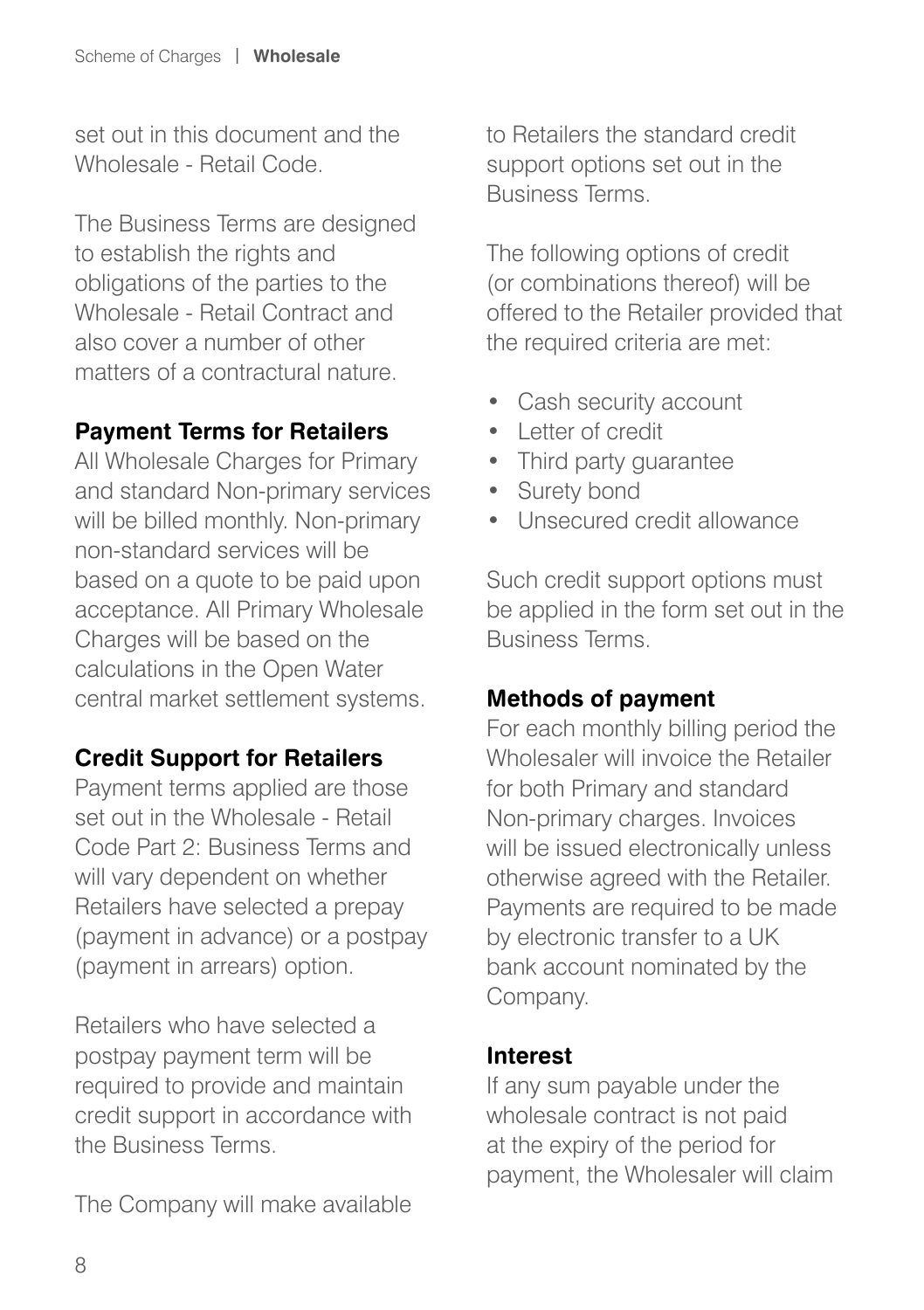set out in this document and the Wholesale - Retail Code.

The Business Terms are designed to establish the rights and obligations of the parties to the Wholesale - Retail Contract and also cover a number of other matters of a contractural nature.

## **Payment Terms for Retailers**

All Wholesale Charges for Primary and standard Non-primary services will be billed monthly. Non-primary non-standard services will be based on a quote to be paid upon acceptance. All Primary Wholesale Charges will be based on the calculations in the Open Water central market settlement systems.

## **Credit Support for Retailers**

Payment terms applied are those set out in the Wholesale - Retail Code Part 2: Business Terms and will vary dependent on whether Retailers have selected a prepay (payment in advance) or a postpay (payment in arrears) option.

Retailers who have selected a postpay payment term will be required to provide and maintain credit support in accordance with the Business Terms.

The Company will make available

to Retailers the standard credit support options set out in the Business Terms.

The following options of credit (or combinations thereof) will be offered to the Retailer provided that the required criteria are met:

- Cash security account
- Letter of credit
- Third party guarantee
- Surety bond
- Unsecured credit allowance

Such credit support options must be applied in the form set out in the Business Terms.

## **Methods of payment**

For each monthly billing period the Wholesaler will invoice the Retailer for both Primary and standard Non-primary charges. Invoices will be issued electronically unless otherwise agreed with the Retailer. Payments are required to be made by electronic transfer to a UK bank account nominated by the Company.

### **Interest**

If any sum payable under the wholesale contract is not paid at the expiry of the period for payment, the Wholesaler will claim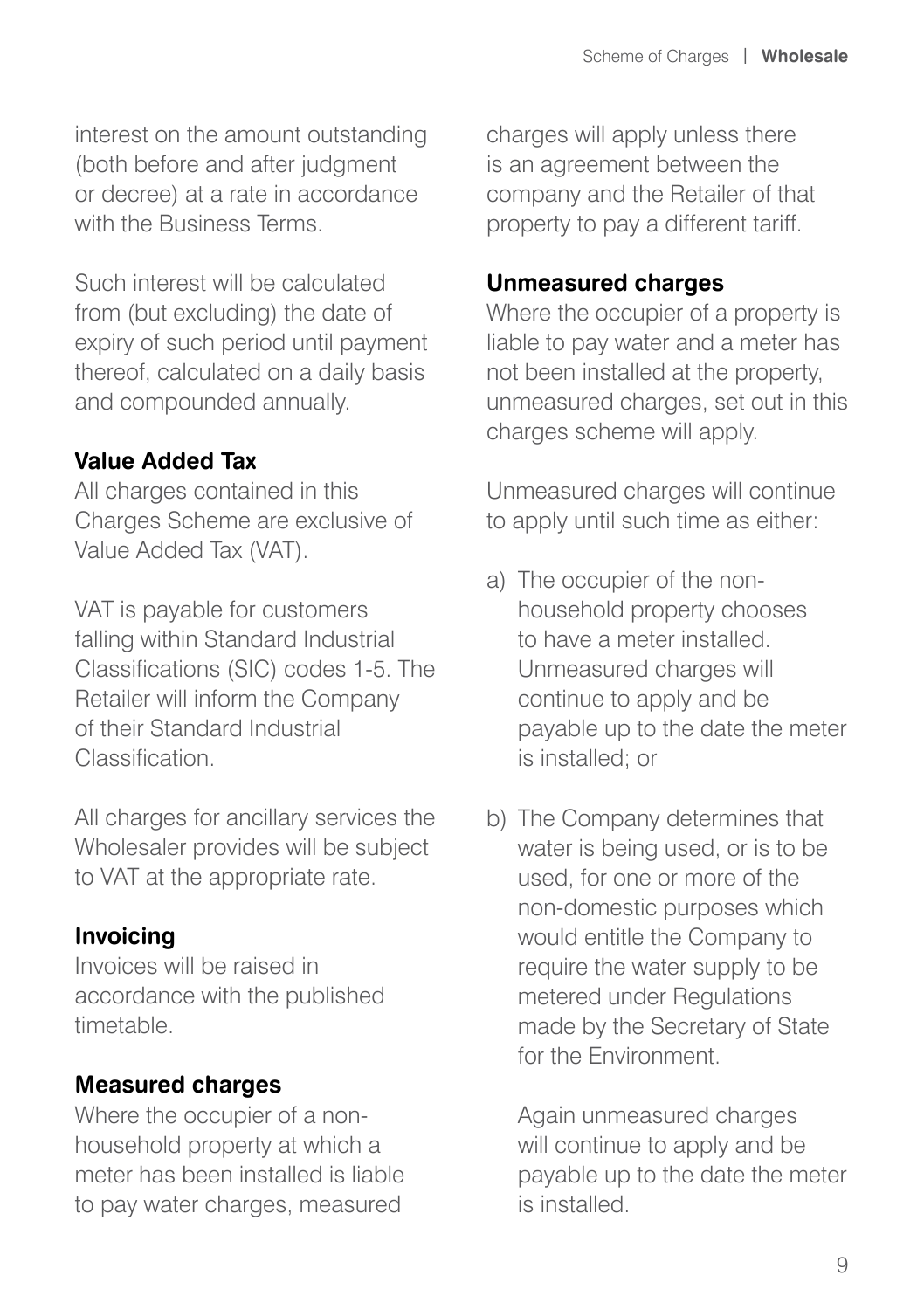interest on the amount outstanding (both before and after judgment or decree) at a rate in accordance with the Business Terms.

Such interest will be calculated from (but excluding) the date of expiry of such period until payment thereof, calculated on a daily basis and compounded annually.

### **Value Added Tax**

All charges contained in this Charges Scheme are exclusive of Value Added Tax (VAT).

VAT is payable for customers falling within Standard Industrial Classifications (SIC) codes 1-5. The Retailer will inform the Company of their Standard Industrial Classification.

All charges for ancillary services the Wholesaler provides will be subject to VAT at the appropriate rate.

### **Invoicing**

Invoices will be raised in accordance with the published timetable.

## **Measured charges**

Where the occupier of a nonhousehold property at which a meter has been installed is liable to pay water charges, measured

charges will apply unless there is an agreement between the company and the Retailer of that property to pay a different tariff.

### **Unmeasured charges**

Where the occupier of a property is liable to pay water and a meter has not been installed at the property, unmeasured charges, set out in this charges scheme will apply.

Unmeasured charges will continue to apply until such time as either:

- a) The occupier of the nonhousehold property chooses to have a meter installed. Unmeasured charges will continue to apply and be payable up to the date the meter is installed; or
- b) The Company determines that water is being used, or is to be used, for one or more of the non-domestic purposes which would entitle the Company to require the water supply to be metered under Regulations made by the Secretary of State for the Environment.

Again unmeasured charges will continue to apply and be payable up to the date the meter is installed.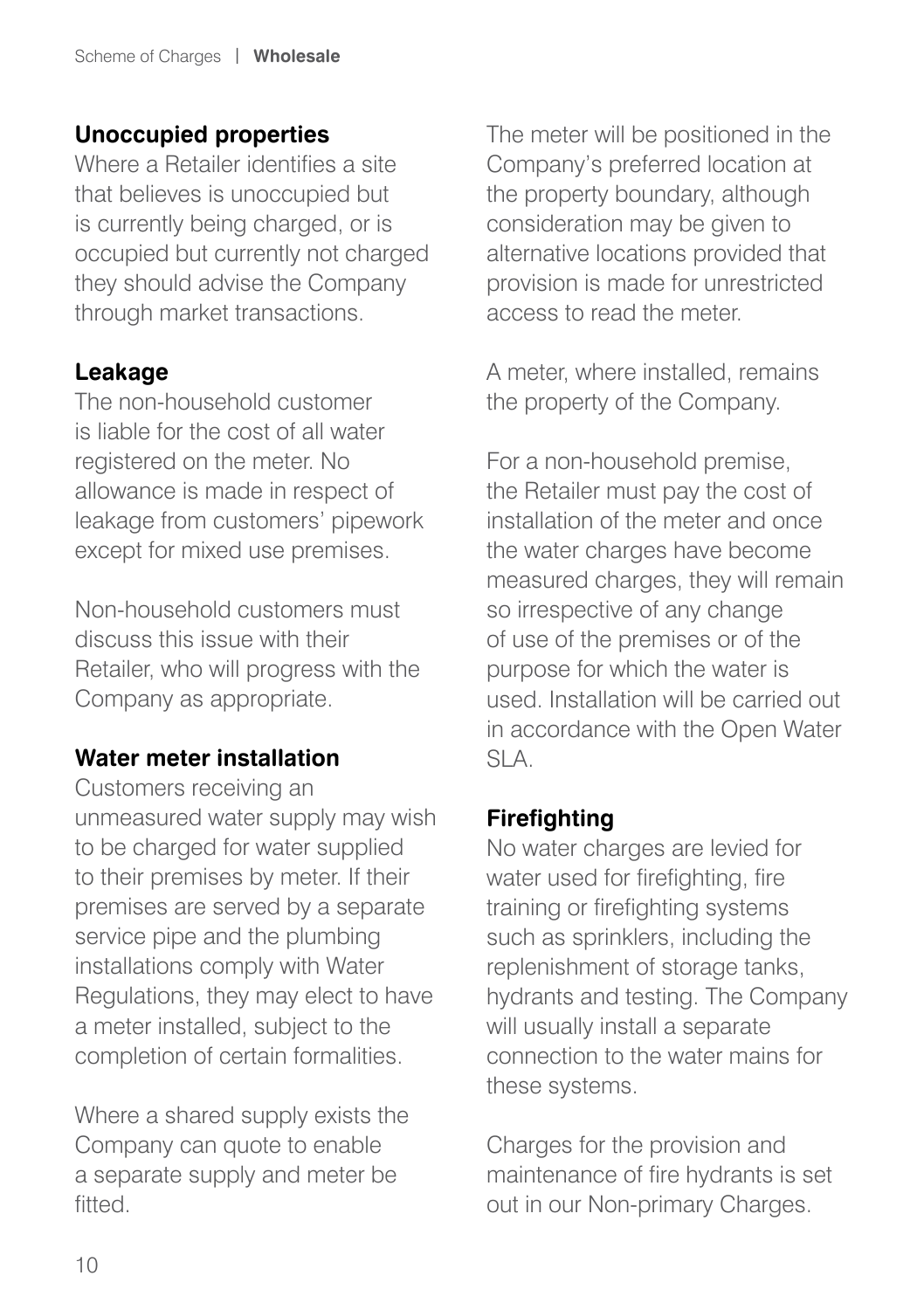#### **Unoccupied properties**

Where a Retailer identifies a site that believes is unoccupied but is currently being charged, or is occupied but currently not charged they should advise the Company through market transactions.

### **Leakage**

The non-household customer is liable for the cost of all water registered on the meter. No allowance is made in respect of leakage from customers' pipework except for mixed use premises.

Non-household customers must discuss this issue with their Retailer, who will progress with the Company as appropriate.

## **Water meter installation**

Customers receiving an unmeasured water supply may wish to be charged for water supplied to their premises by meter. If their premises are served by a separate service pipe and the plumbing installations comply with Water Regulations, they may elect to have a meter installed, subject to the completion of certain formalities.

Where a shared supply exists the Company can quote to enable a separate supply and meter be fitted.

The meter will be positioned in the Company's preferred location at the property boundary, although consideration may be given to alternative locations provided that provision is made for unrestricted access to read the meter.

A meter, where installed, remains the property of the Company.

For a non-household premise, the Retailer must pay the cost of installation of the meter and once the water charges have become measured charges, they will remain so irrespective of any change of use of the premises or of the purpose for which the water is used. Installation will be carried out in accordance with the Open Water SLA.

## **Firefighting**

No water charges are levied for water used for firefighting, fire training or firefighting systems such as sprinklers, including the replenishment of storage tanks, hydrants and testing. The Company will usually install a separate connection to the water mains for these systems.

Charges for the provision and maintenance of fire hydrants is set out in our Non-primary Charges.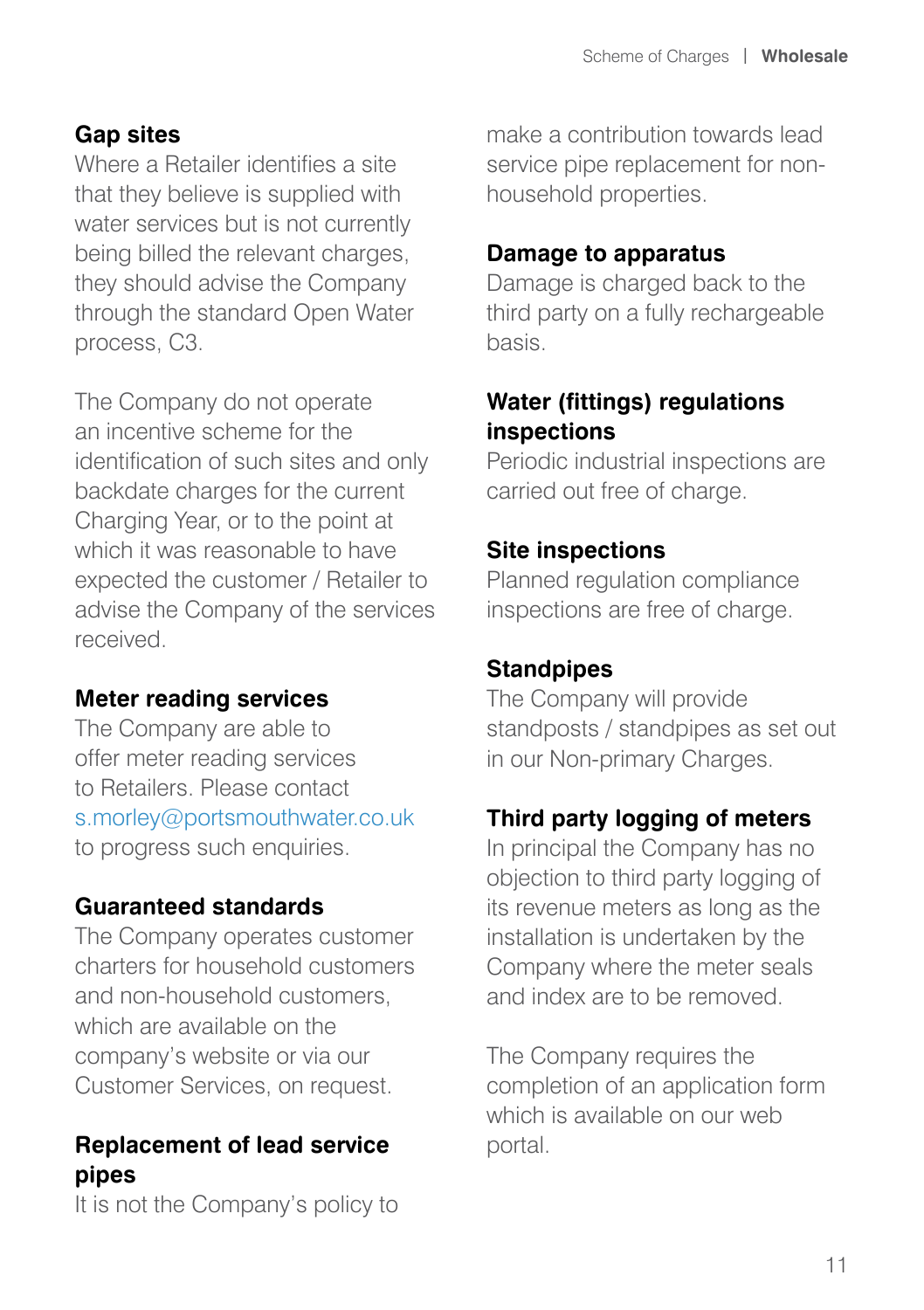#### **Gap sites**

Where a Retailer identifies a site that they believe is supplied with water services but is not currently being billed the relevant charges. they should advise the Company through the standard Open Water process, C3.

The Company do not operate an incentive scheme for the identification of such sites and only backdate charges for the current Charging Year, or to the point at which it was reasonable to have expected the customer / Retailer to advise the Company of the services received.

#### **Meter reading services**

The Company are able to offer meter reading services to Retailers. Please contact s.morley@portsmouthwater.co.uk to progress such enquiries.

#### **Guaranteed standards**

The Company operates customer charters for household customers and non-household customers, which are available on the company's website or via our Customer Services, on request.

#### **Replacement of lead service pipes**

It is not the Company's policy to

make a contribution towards lead service pipe replacement for nonhousehold properties.

#### **Damage to apparatus**

Damage is charged back to the third party on a fully rechargeable basis.

#### **Water (fittings) regulations inspections**

Periodic industrial inspections are carried out free of charge.

#### **Site inspections**

Planned regulation compliance inspections are free of charge.

### **Standpipes**

The Company will provide standposts / standpipes as set out in our Non-primary Charges.

### **Third party logging of meters**

In principal the Company has no objection to third party logging of its revenue meters as long as the installation is undertaken by the Company where the meter seals and index are to be removed.

The Company requires the completion of an application form which is available on our web portal.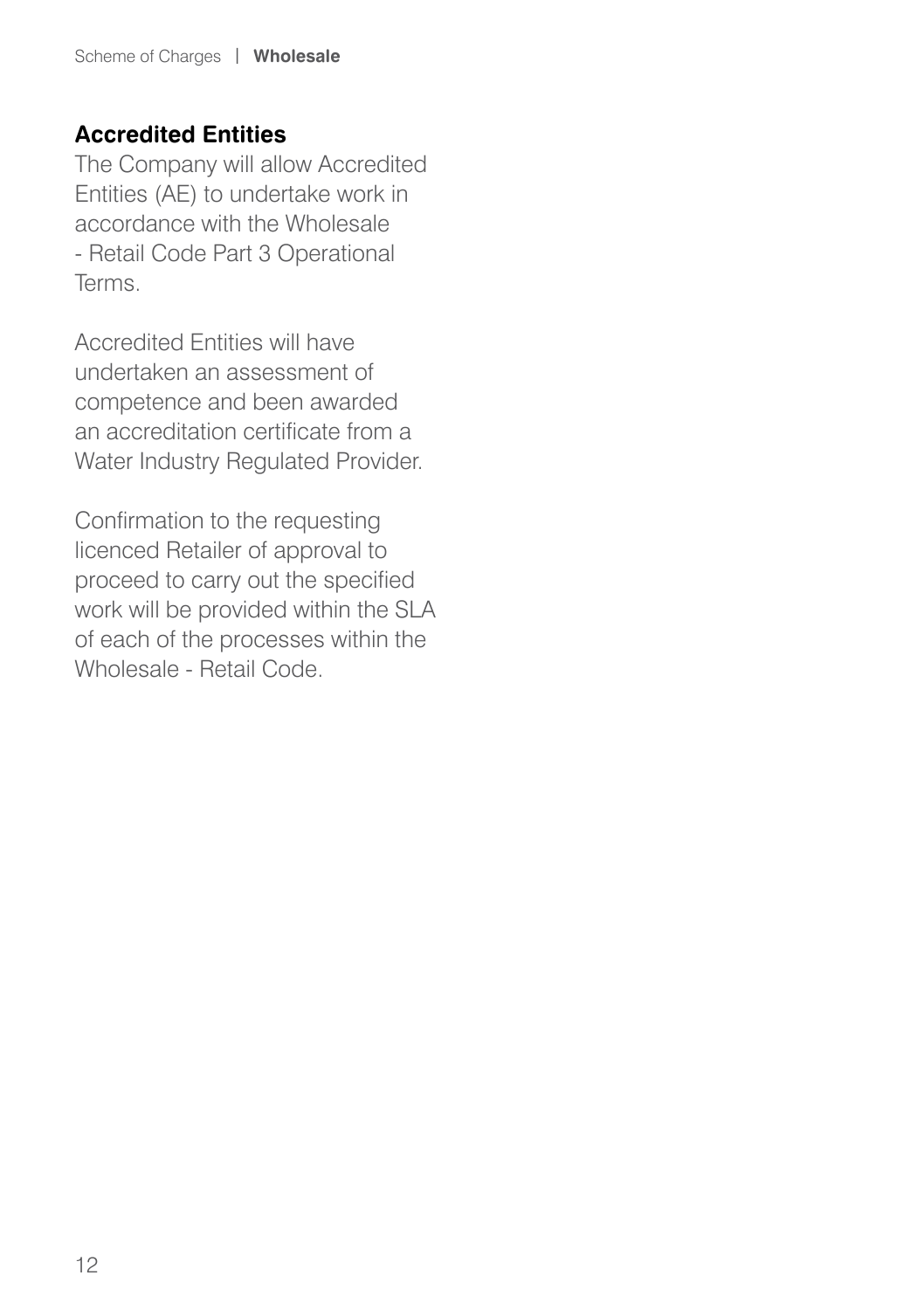#### **Accredited Entities**

The Company will allow Accredited Entities (AE) to undertake work in accordance with the Wholesale - Retail Code Part 3 Operational Terms.

Accredited Entities will have undertaken an assessment of competence and been awarded an accreditation certificate from a Water Industry Regulated Provider.

Confirmation to the requesting licenced Retailer of approval to proceed to carry out the specified work will be provided within the SLA of each of the processes within the Wholesale - Retail Code.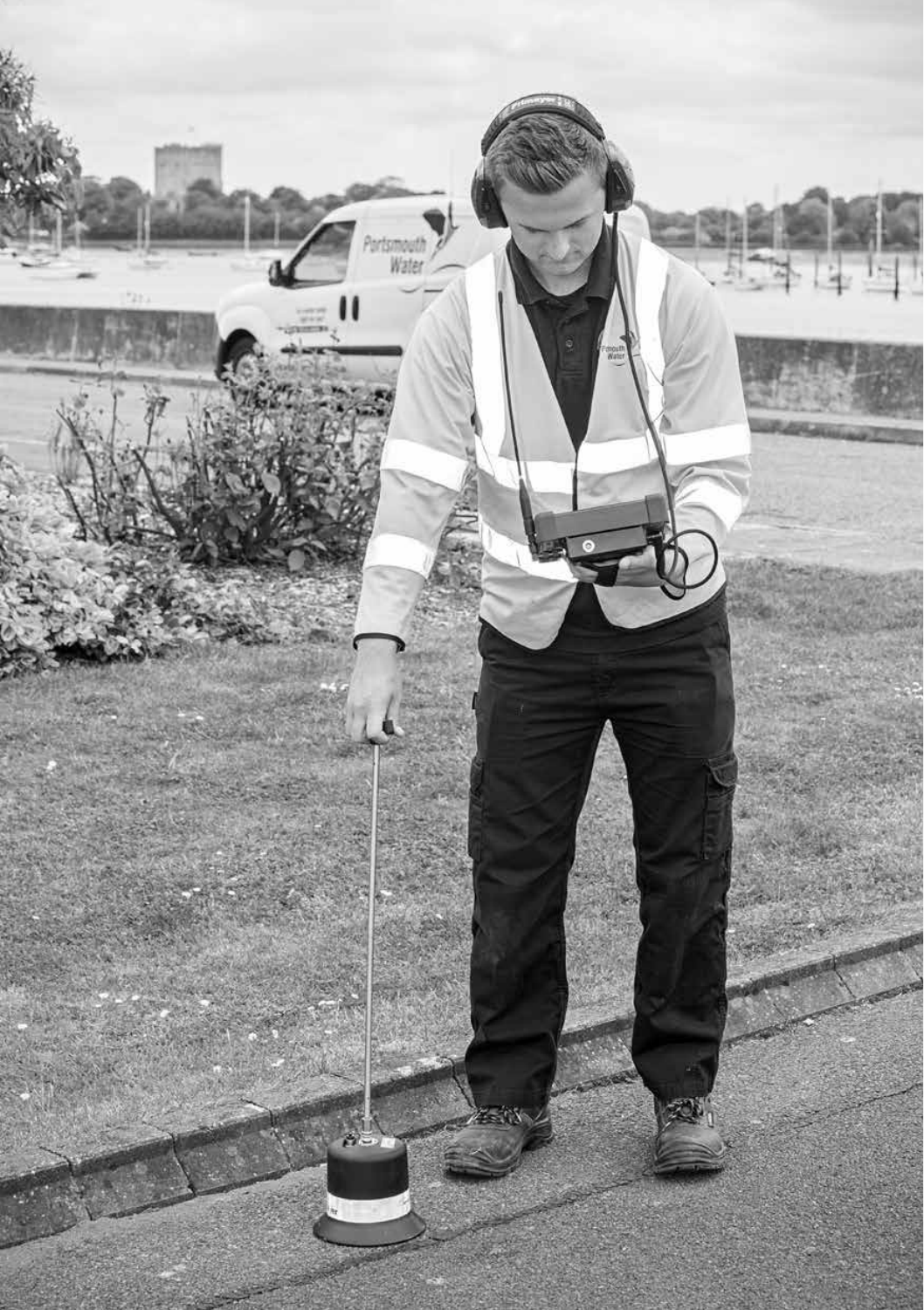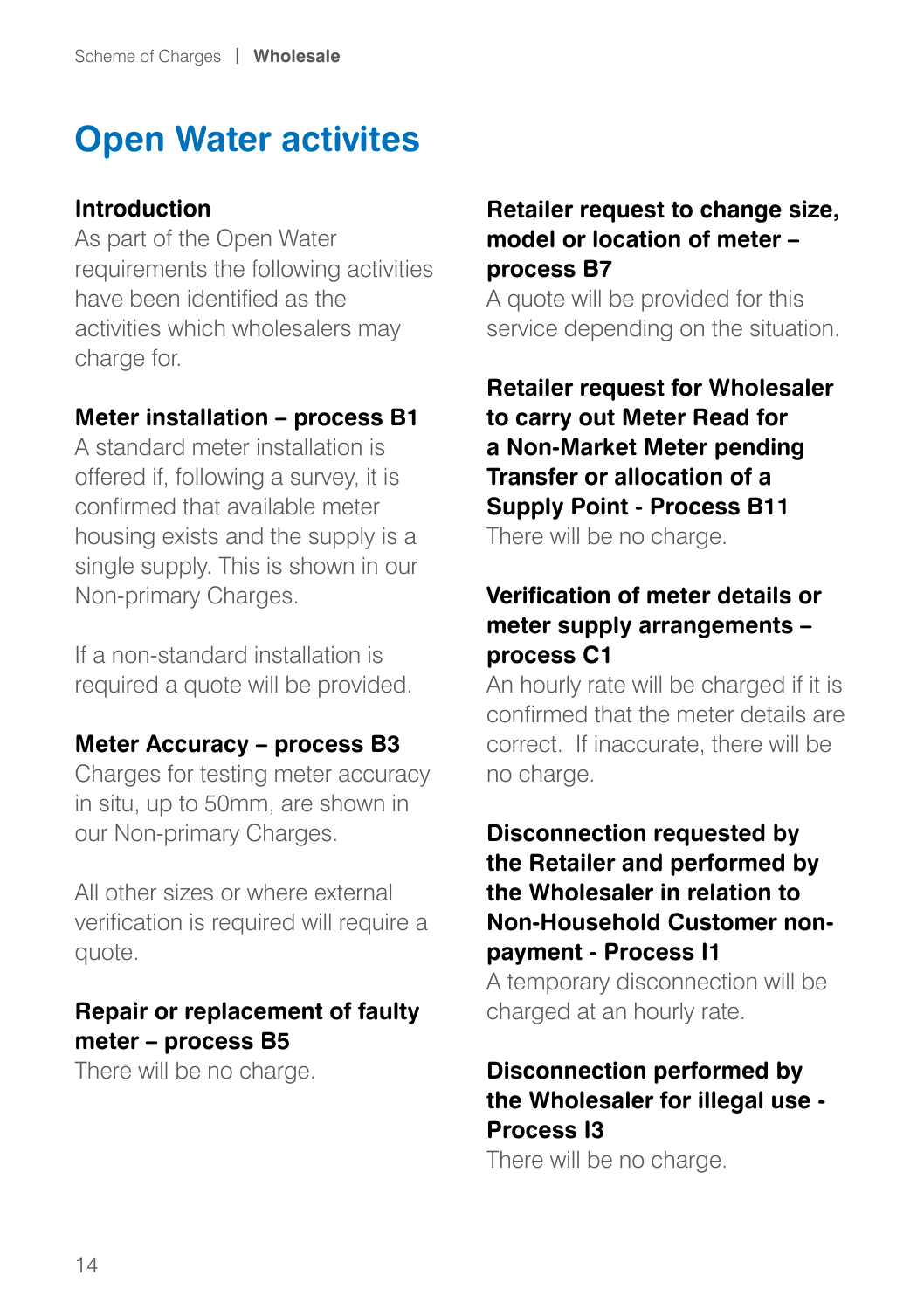## **Open Water activites**

### **Introduction**

As part of the Open Water requirements the following activities have been identified as the activities which wholesalers may charge for.

### **Meter installation – process B1**

A standard meter installation is offered if, following a survey, it is confirmed that available meter housing exists and the supply is a single supply. This is shown in our Non-primary Charges.

If a non-standard installation is required a quote will be provided.

## **Meter Accuracy – process B3**

Charges for testing meter accuracy in situ, up to 50mm, are shown in our Non-primary Charges.

All other sizes or where external verification is required will require a quote.

## **Repair or replacement of faulty meter – process B5**

There will be no charge.

## **Retailer request to change size, model or location of meter – process B7**

A quote will be provided for this service depending on the situation.

**Retailer request for Wholesaler to carry out Meter Read for a Non-Market Meter pending Transfer or allocation of a Supply Point - Process B11** There will be no charge.

### **Verification of meter details or meter supply arrangements – process C1**

An hourly rate will be charged if it is confirmed that the meter details are correct. If inaccurate, there will be no charge.

#### **Disconnection requested by the Retailer and performed by the Wholesaler in relation to Non-Household Customer nonpayment - Process I1**

A temporary disconnection will be charged at an hourly rate.

## **Disconnection performed by the Wholesaler for illegal use - Process I3**

There will be no charge.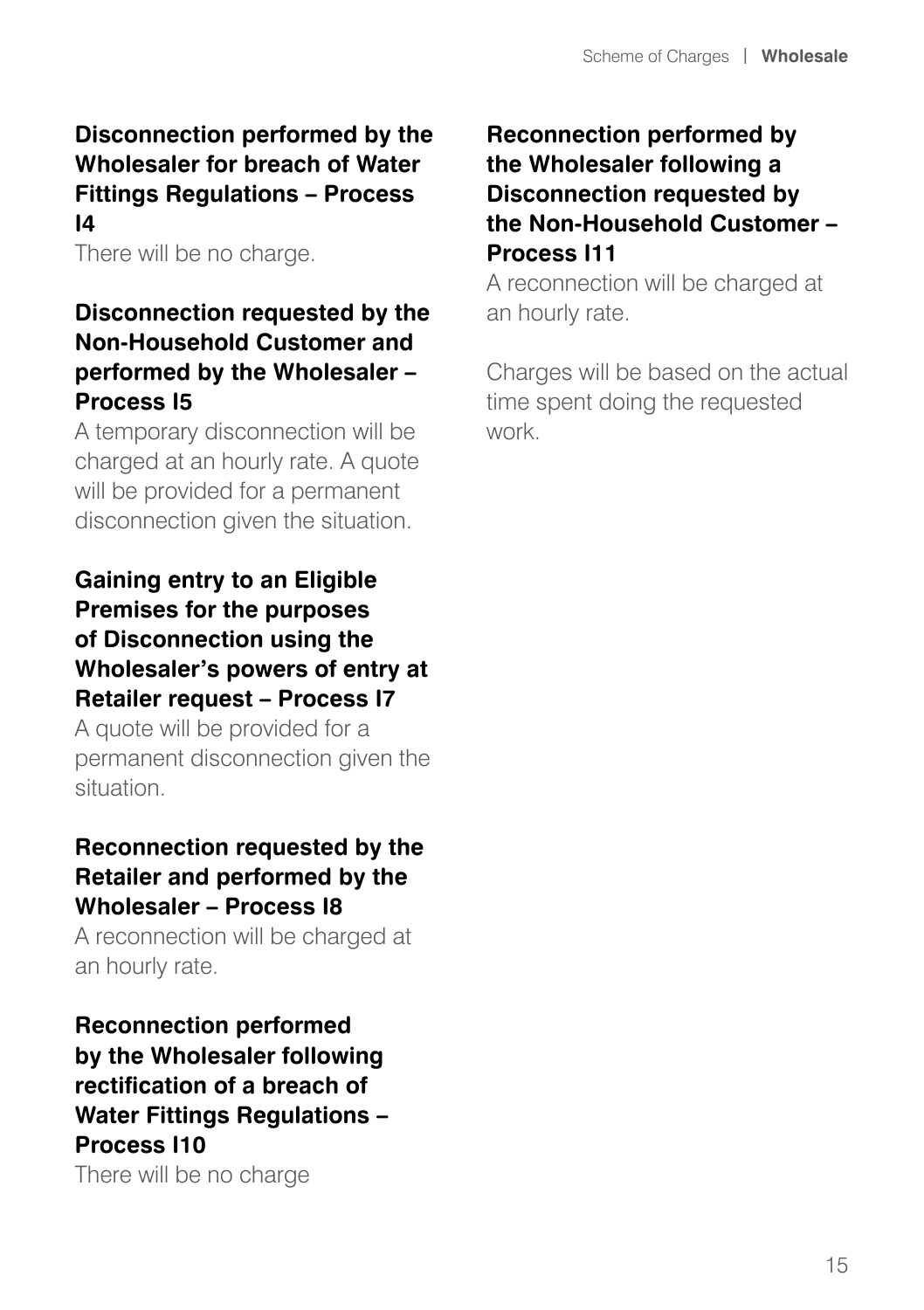### **Disconnection performed by the Wholesaler for breach of Water Fittings Regulations – Process I4**

There will be no charge.

### **Disconnection requested by the Non-Household Customer and performed by the Wholesaler – Process I5**

A temporary disconnection will be charged at an hourly rate. A quote will be provided for a permanent disconnection given the situation.

## **Gaining entry to an Eligible Premises for the purposes of Disconnection using the Wholesaler's powers of entry at Retailer request – Process I7**

A quote will be provided for a permanent disconnection given the situation.

#### **Reconnection requested by the Retailer and performed by the Wholesaler – Process I8**

A reconnection will be charged at an hourly rate.

**Reconnection performed by the Wholesaler following rectification of a breach of Water Fittings Regulations – Process I10** There will be no charge

#### **Reconnection performed by the Wholesaler following a Disconnection requested by the Non-Household Customer – Process I11**

A reconnection will be charged at an hourly rate.

Charges will be based on the actual time spent doing the requested work.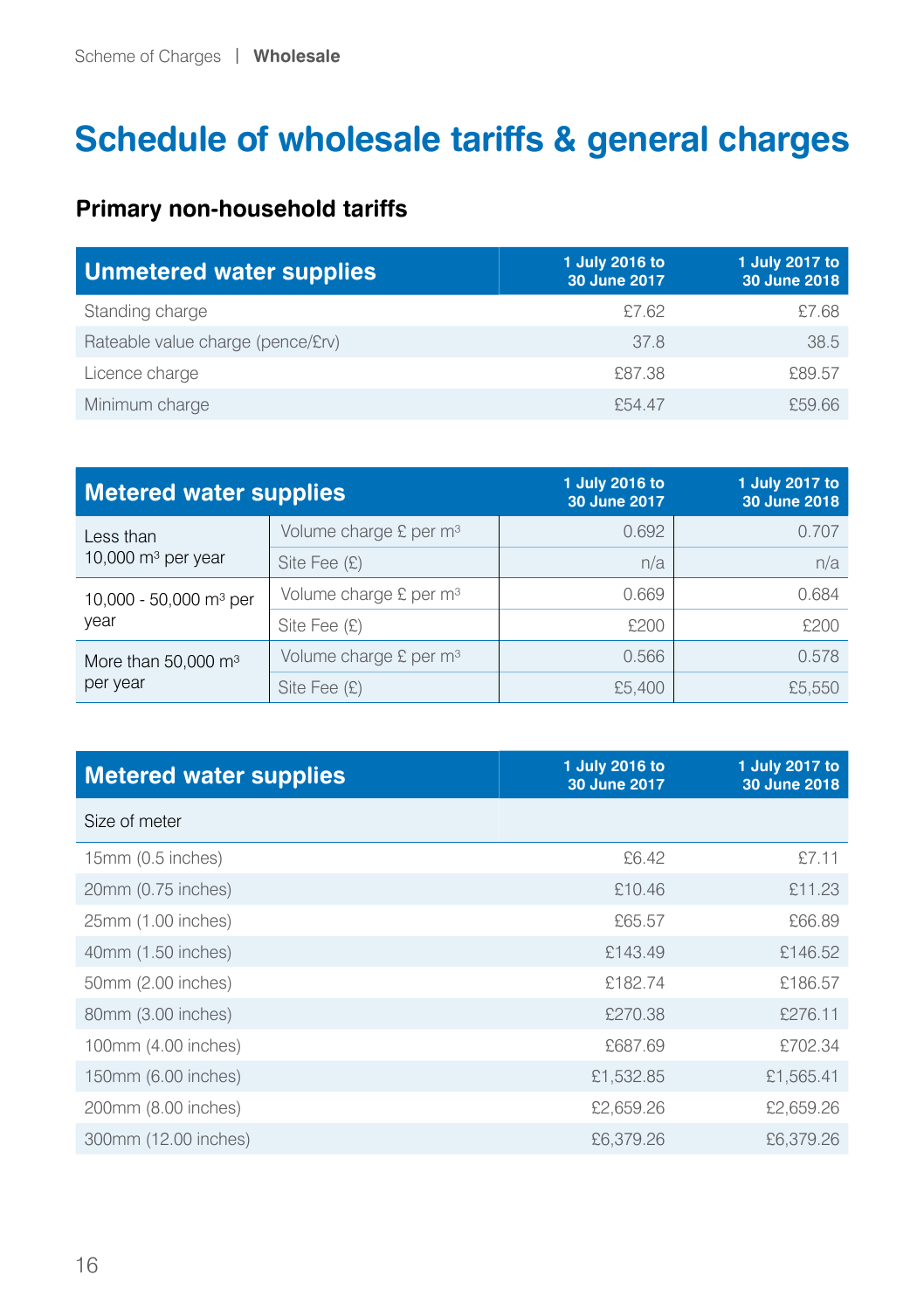## **Schedule of wholesale tariffs & general charges**

#### **Primary non-household tariffs**

| <b>Unmetered water supplies</b>   | 1 July 2016 to<br>30 June 2017 | 1 July 2017 to<br>30 June 2018 |
|-----------------------------------|--------------------------------|--------------------------------|
| Standing charge                   | £7.62                          | £7.68                          |
| Rateable value charge (pence/£rv) | 378                            | 38.5                           |
| Licence charge                    | £87.38                         | £89.57                         |
| Minimum charge                    | £54.47                         | £59.66                         |

| <b>Metered water supplies</b>      |                                    | 1 July 2016 to<br>30 June 2017 | 1 July 2017 to<br>30 June 2018 |
|------------------------------------|------------------------------------|--------------------------------|--------------------------------|
| Less than                          | Volume charge £ per m <sup>3</sup> | 0.692                          | 0.707                          |
| 10,000 $m3$ per year               | Site Fee $(E)$                     | n/a                            | n/a                            |
| 10,000 - 50,000 m <sup>3</sup> per | Volume charge £ per m <sup>3</sup> | 0.669                          | 0.684                          |
| year                               | Site Fee $(E)$                     | £200                           | £200                           |
| More than 50,000 $\mathrm{m}^{3}$  | Volume charge £ per m <sup>3</sup> | 0.566                          | 0.578                          |
| per year                           | Site Fee $(E)$                     | £5,400                         | £5.550                         |

| <b>Metered water supplies</b> | 1 July 2016 to<br>30 June 2017 | 1 July 2017 to<br>30 June 2018 |
|-------------------------------|--------------------------------|--------------------------------|
| Size of meter                 |                                |                                |
| 15mm (0.5 inches)             | £6.42                          | £7.11                          |
| 20mm (0.75 inches)            | £10.46                         | £11.23                         |
| 25mm (1.00 inches)            | £65.57                         | £66.89                         |
| 40mm (1.50 inches)            | £143.49                        | £146.52                        |
| 50mm (2.00 inches)            | £182.74                        | £186.57                        |
| 80mm (3.00 inches)            | £270.38                        | £276.11                        |
| 100mm (4.00 inches)           | £687.69                        | £702.34                        |
| 150mm (6.00 inches)           | £1,532.85                      | £1,565.41                      |
| 200mm (8.00 inches)           | £2,659.26                      | £2,659.26                      |
| 300mm (12.00 inches)          | £6.379.26                      | £6.379.26                      |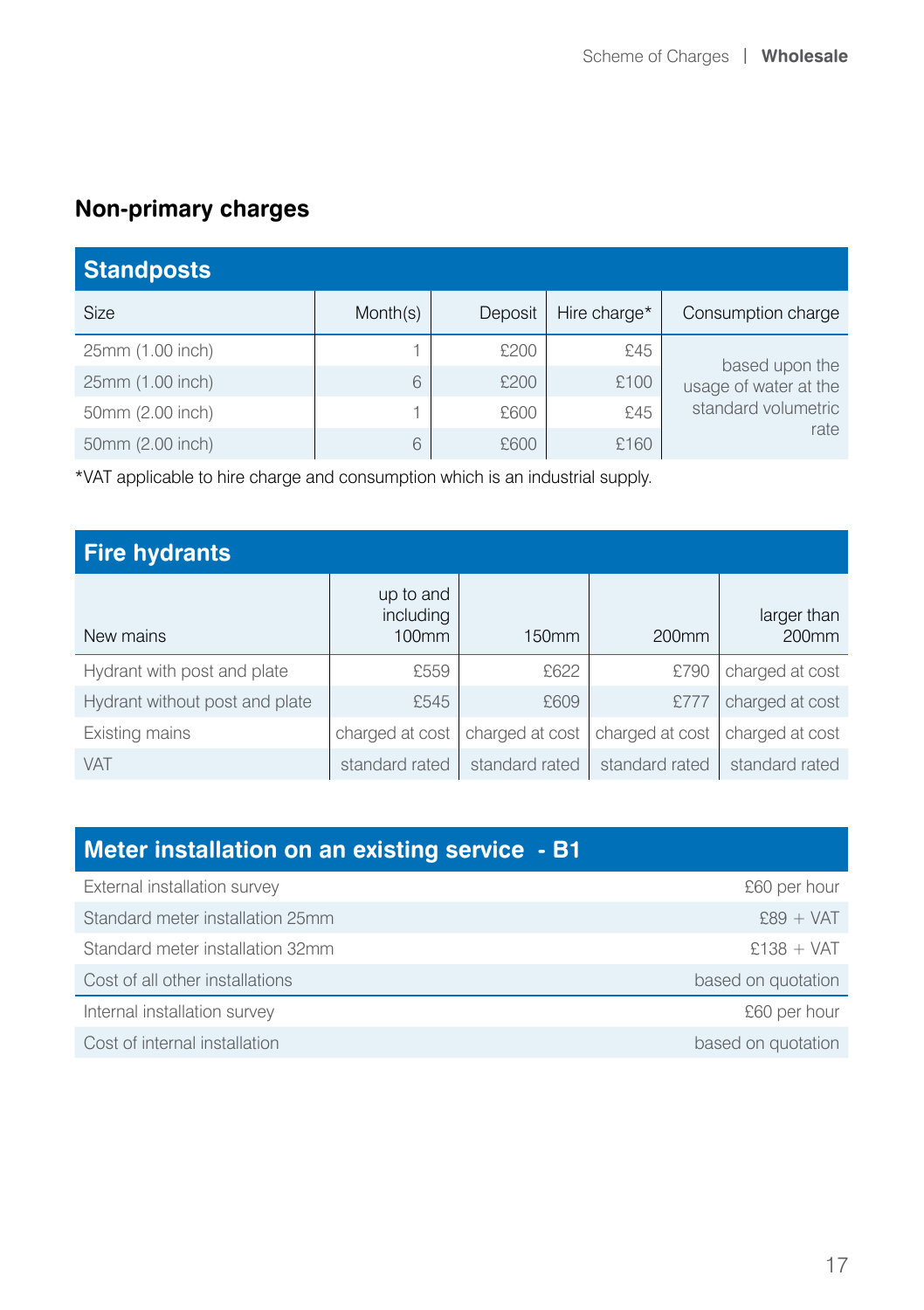## **Non-primary charges**

| <b>Standposts</b> |          |         |              |                                         |
|-------------------|----------|---------|--------------|-----------------------------------------|
| Size              | Month(s) | Deposit | Hire charge* | Consumption charge                      |
| 25mm (1.00 inch)  |          | £200    | £45          |                                         |
| 25mm (1.00 inch)  | 6        | £200    | £100         | based upon the<br>usage of water at the |
| 50mm (2.00 inch)  |          | £600    | £45          | standard volumetric                     |
| 50mm (2.00 inch)  | 6        | £600    | £160         | rate                                    |

\*VAT applicable to hire charge and consumption which is an industrial supply.

| <b>Fire hydrants</b>           |                                 |                   |                   |                      |  |
|--------------------------------|---------------------------------|-------------------|-------------------|----------------------|--|
| New mains                      | up to and<br>including<br>100mm | 150 <sub>mm</sub> | 200 <sub>mm</sub> | larger than<br>200mm |  |
| Hydrant with post and plate    | £559                            | £622              | £790              | charged at cost      |  |
| Hydrant without post and plate | £545                            | £609              | £777              | charged at cost      |  |
| Existing mains                 | charged at cost                 | charged at cost   | charged at cost   | charged at cost      |  |
| <b>VAT</b>                     | standard rated                  | standard rated    | standard rated    | standard rated       |  |

| Meter installation on an existing service - B1 |                    |
|------------------------------------------------|--------------------|
| External installation survey                   | £60 per hour       |
| Standard meter installation 25mm               | $£89 + VAT$        |
| Standard meter installation 32mm               | $£138 + VAT$       |
| Cost of all other installations                | based on quotation |
| Internal installation survey                   | £60 per hour       |
| Cost of internal installation                  | based on quotation |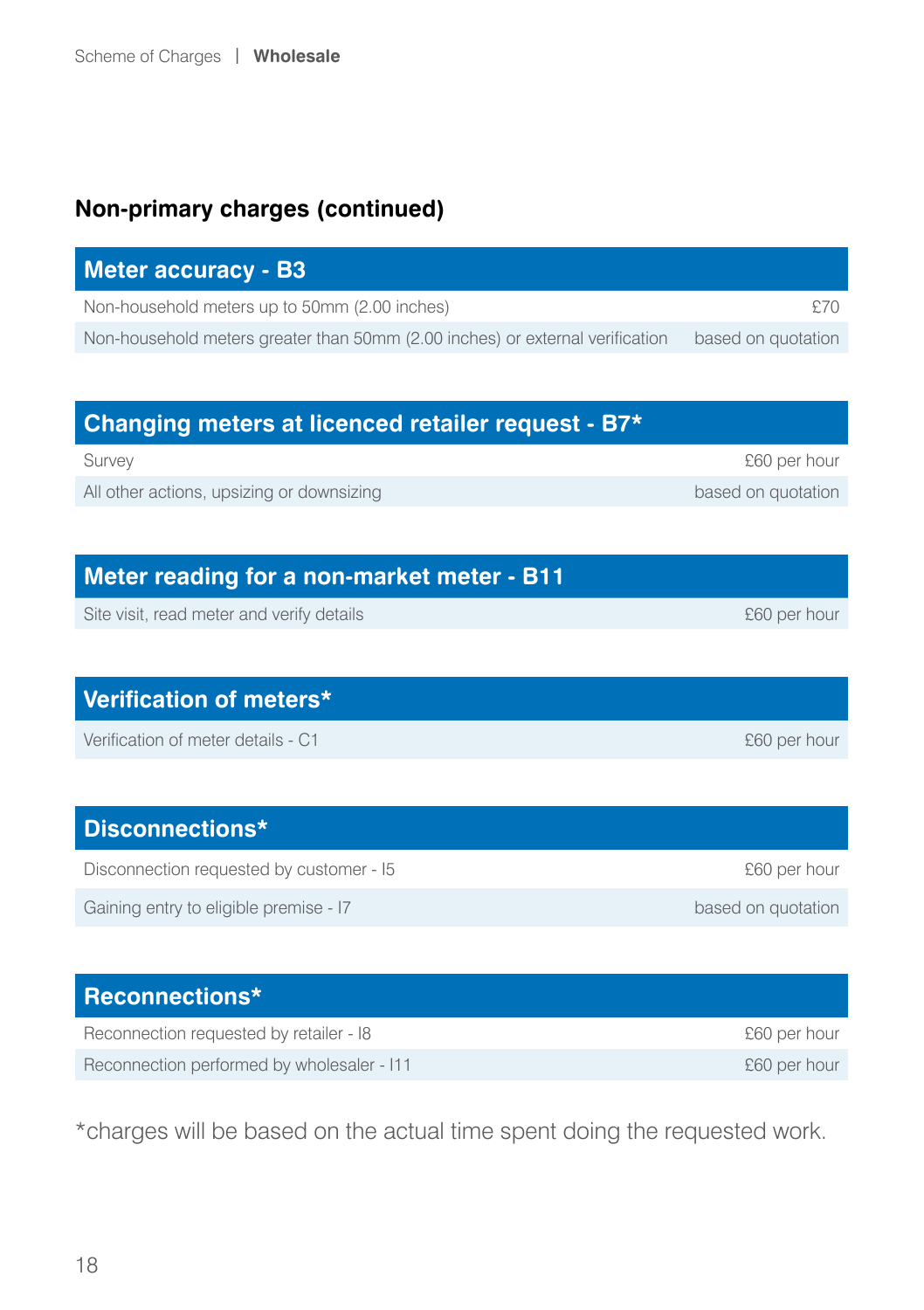#### **Non-primary charges (continued)**

| Meter accuracy - B3                                                           |                    |
|-------------------------------------------------------------------------------|--------------------|
| Non-household meters up to 50mm (2.00 inches)                                 | £70.               |
| Non-household meters greater than 50mm (2.00 inches) or external verification | based on quotation |

| Changing meters at licenced retailer request - B7* |                    |  |
|----------------------------------------------------|--------------------|--|
| Survev                                             | £60 per hour       |  |
| All other actions, upsizing or downsizing          | based on quotation |  |

|  | Meter reading for a non-market meter - B11 |
|--|--------------------------------------------|
|  |                                            |

Site visit, read meter and verify details **EXALCO PER 1999** Per hour control of the state of the state of the state of the state of the state of the state of the state of the state of the state of the state of the state of

#### **Verification of meters\***

Verification of meter details - C1 **E60 per hour** E60 per hour

#### **Disconnections\***

Disconnection requested by customer - I5  $E60$  per hour

Gaining entry to eligible premise - I7 based on quotation

#### **Reconnections\***

| Reconnection requested by retailer - 18    | £60 per hour |
|--------------------------------------------|--------------|
| Reconnection performed by wholesaler - 111 | £60 per hour |

\*charges will be based on the actual time spent doing the requested work.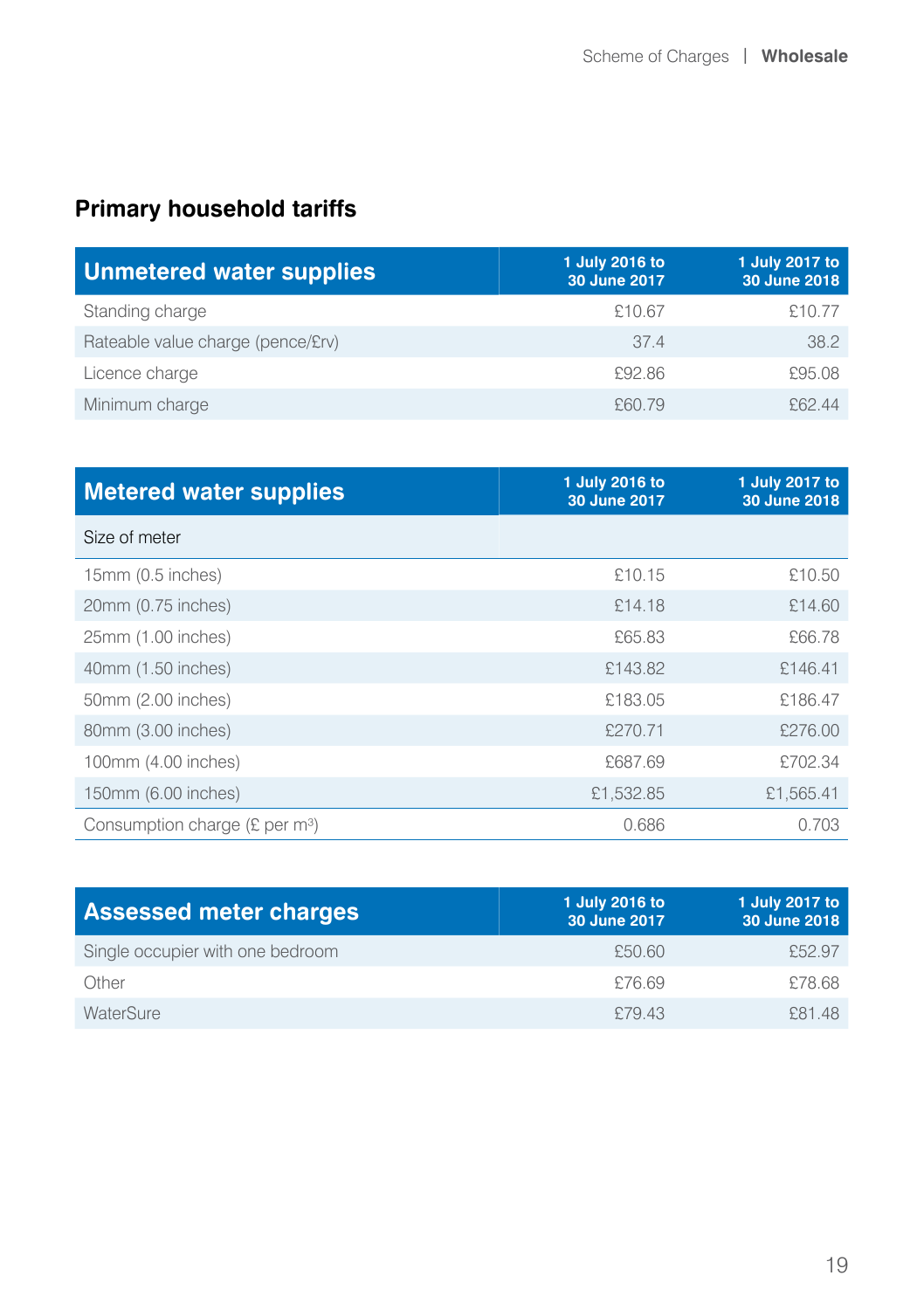## **Primary household tariffs**

| <b>Unmetered water supplies</b>   | 1 July 2016 to<br>30 June 2017 | 1 July 2017 to<br>30 June 2018 |
|-----------------------------------|--------------------------------|--------------------------------|
| Standing charge                   | £10.67                         | £10.77                         |
| Rateable value charge (pence/£rv) | 374                            | 38.2                           |
| Licence charge                    | £92.86                         | £95.08                         |
| Minimum charge                    | £60.79                         | £62 44                         |

| <b>Metered water supplies</b>     | 1 July 2016 to<br>30 June 2017 | 1 July 2017 to<br>30 June 2018 |
|-----------------------------------|--------------------------------|--------------------------------|
| Size of meter                     |                                |                                |
| 15mm (0.5 inches)                 | £10.15                         | £10.50                         |
| 20mm (0.75 inches)                | £14.18                         | £14.60                         |
| 25mm (1.00 inches)                | £65.83                         | £66.78                         |
| 40mm (1.50 inches)                | £143.82                        | £146.41                        |
| 50mm (2.00 inches)                | £183.05                        | £186.47                        |
| 80mm (3.00 inches)                | £270.71                        | £276.00                        |
| 100mm (4.00 inches)               | £687.69                        | £702.34                        |
| 150mm (6.00 inches)               | £1,532.85                      | £1,565.41                      |
| Consumption charge (£ per $m^3$ ) | 0.686                          | 0.703                          |

| <b>Assessed meter charges</b>    | 1 July 2016 to<br>30 June 2017 | 1 July 2017 to<br>30 June 2018 |
|----------------------------------|--------------------------------|--------------------------------|
| Single occupier with one bedroom | £50.60                         | £52.97                         |
| Other                            | £76.69                         | £78.68                         |
| WaterSure                        | £7943                          | £81 48                         |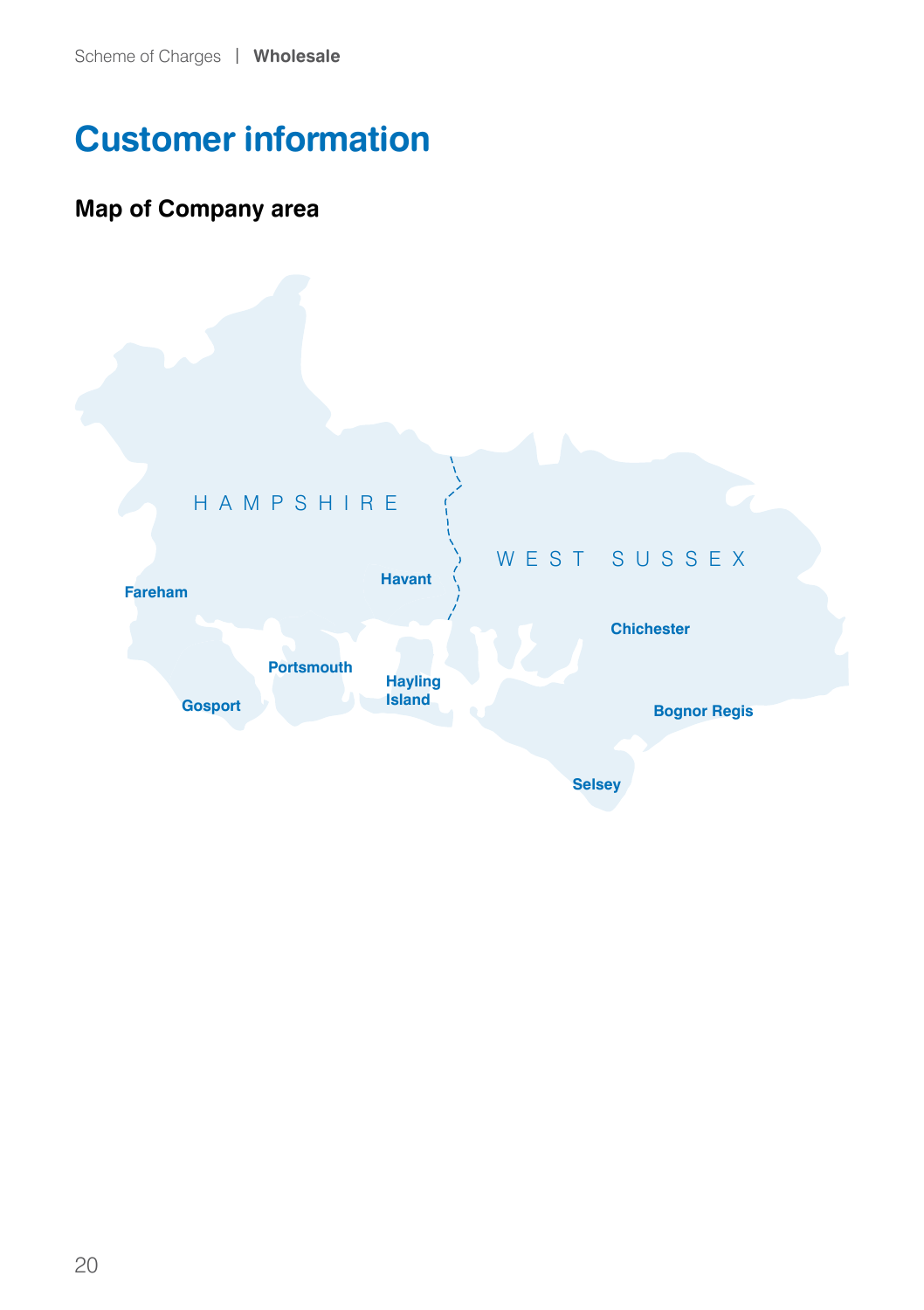## **Customer information**

## **Map of Company area**